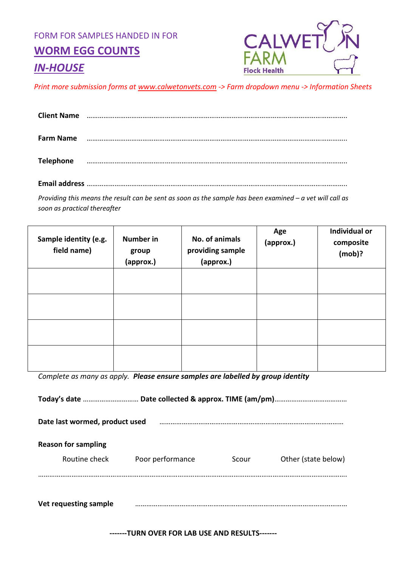FORM FOR SAMPLES HANDED IN FOR

**WORM EGG COUNTS**



# *IN-HOUSE*

*Print more submission forms at [www.calwetonvets.com](http://www.calwetonvets.com/) -> Farm dropdown menu -> Information Sheets*

| <b>Client Name</b> |  |
|--------------------|--|
| <b>Farm Name</b>   |  |
| <b>Telephone</b>   |  |

**Email address** …………………………………………………………………………………………………………………………..

*Providing this means the result can be sent as soon as the sample has been examined – a vet will call as soon as practical thereafter*

| Sample identity (e.g.<br>field name) | <b>Number in</b><br>group<br>(approx.) | No. of animals<br>providing sample<br>(approx.) | Age<br>(approx.) | Individual or<br>composite<br>$(mob)$ ? |
|--------------------------------------|----------------------------------------|-------------------------------------------------|------------------|-----------------------------------------|
|                                      |                                        |                                                 |                  |                                         |
|                                      |                                        |                                                 |                  |                                         |
|                                      |                                        |                                                 |                  |                                         |
|                                      |                                        |                                                 |                  |                                         |

*Complete as many as apply. Please ensure samples are labelled by group identity*

**Today's date** ………………………… **Date collected & approx. TIME (am/pm)**………………………………… **Date last wormed, product used** ……………………………………………………………………………………… **Reason for sampling** Routine check **Poor performance** Scour Other (state below) …………………………………………………………………………………………………………………………………………………. **Vet requesting sample** ……………………………………………………………………………………………………

**-------TURN OVER FOR LAB USE AND RESULTS-------**